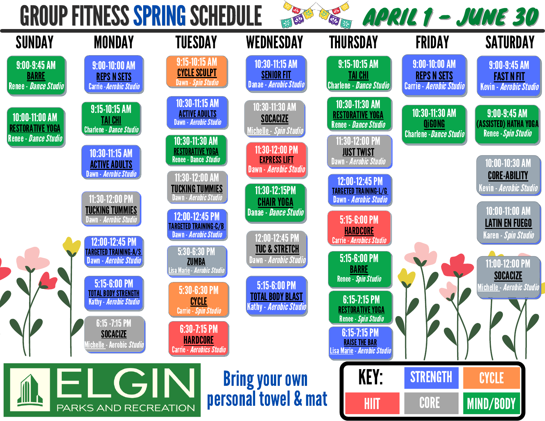## GROUP FITNESS SPRING SCHEDULE



不同

**READER** 

APRIL 1 - JUNE 30